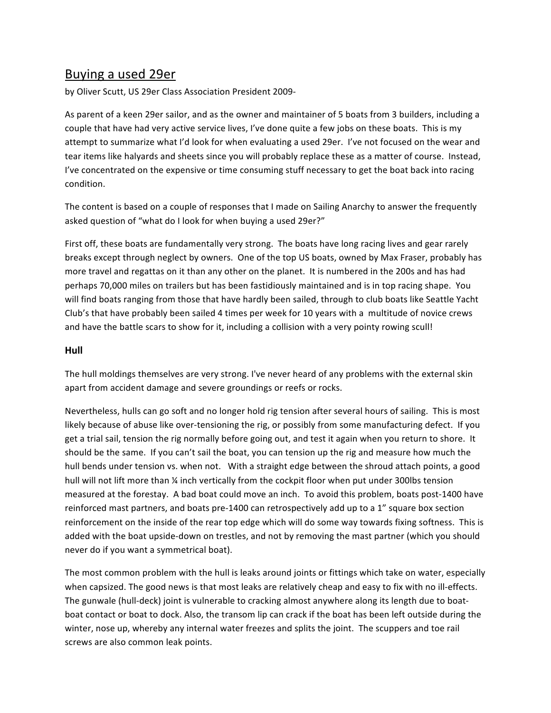# Buying a used 29er

by Oliver Scutt, US 29er Class Association President 2009-

As parent of a keen 29er sailor, and as the owner and maintainer of 5 boats from 3 builders, including a couple that have had very active service lives, I've done quite a few jobs on these boats. This is my attempt to summarize what I'd look for when evaluating a used 29er. I've not focused on the wear and tear items like halyards and sheets since you will probably replace these as a matter of course. Instead, I've concentrated on the expensive or time consuming stuff necessary to get the boat back into racing condition.

The content is based on a couple of responses that I made on Sailing Anarchy to answer the frequently asked question of "what do I look for when buying a used 29er?"

First off, these boats are fundamentally very strong. The boats have long racing lives and gear rarely breaks except through neglect by owners. One of the top US boats, owned by Max Fraser, probably has more travel and regattas on it than any other on the planet. It is numbered in the 200s and has had perhaps 70,000 miles on trailers but has been fastidiously maintained and is in top racing shape. You will find boats ranging from those that have hardly been sailed, through to club boats like Seattle Yacht Club's that have probably been sailed 4 times per week for 10 years with a multitude of novice crews and have the battle scars to show for it, including a collision with a very pointy rowing scull!

## **Hull**

The hull moldings themselves are very strong. I've never heard of any problems with the external skin apart from accident damage and severe groundings or reefs or rocks.

Nevertheless, hulls can go soft and no longer hold rig tension after several hours of sailing. This is most likely because of abuse like over-tensioning the rig, or possibly from some manufacturing defect. If you get a trial sail, tension the rig normally before going out, and test it again when you return to shore. It should be the same.''If you can't sail the boat, you can tension up the rig and measure how much the hull bends under tension vs. when not. With a straight edge between the shroud attach points, a good hull will not lift more than % inch vertically from the cockpit floor when put under 300lbs tension measured at the forestay. A bad boat could move an inch. To avoid this problem, boats post-1400 have reinforced mast partners, and boats pre-1400 can retrospectively add up to a 1" square box section reinforcement on the inside of the rear top edge which will do some way towards fixing softness. This is added with the boat upside-down on trestles, and not by removing the mast partner (which you should never do if you want a symmetrical boat).

The most common problem with the hull is leaks around joints or fittings which take on water, especially when capsized. The good news is that most leaks are relatively cheap and easy to fix with no ill-effects. The gunwale (hull-deck) joint is vulnerable to cracking almost anywhere along its length due to boatboat contact or boat to dock. Also, the transom lip can crack if the boat has been left outside during the winter, nose up, whereby any internal water freezes and splits the joint. The scuppers and toe rail screws are also common leak points.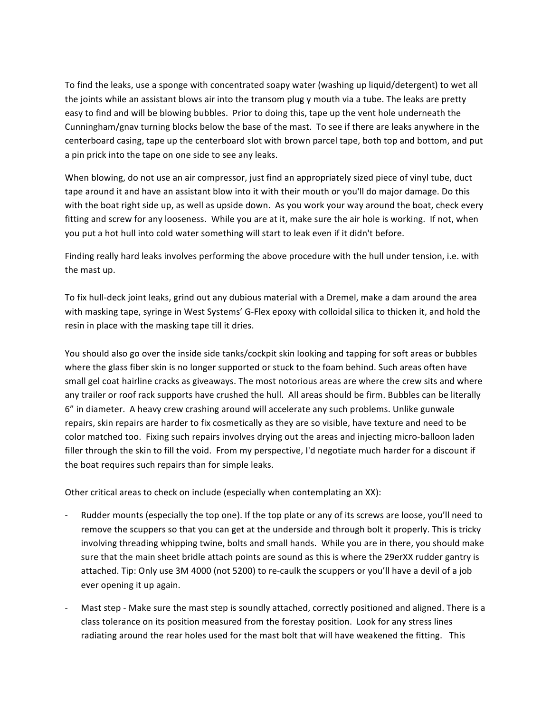To find the leaks, use a sponge with concentrated soapy water (washing up liquid/detergent) to wet all the joints while an assistant blows air into the transom plug y mouth via a tube. The leaks are pretty easy to find and will be blowing bubbles. Prior to doing this, tape up the vent hole underneath the Cunningham/gnav turning blocks below the base of the mast. To see if there are leaks anywhere in the centerboard casing, tape up the centerboard slot with brown parcel tape, both top and bottom, and put a pin prick into the tape on one side to see any leaks.

When blowing, do not use an air compressor, just find an appropriately sized piece of vinyl tube, duct tape around it and have an assistant blow into it with their mouth or you'll do major damage. Do this with the boat right side up, as well as upside down. As you work your way around the boat, check every fitting and screw for any looseness. While you are at it, make sure the air hole is working. If not, when you put a hot hull into cold water something will start to leak even if it didn't before.

Finding really hard leaks involves performing the above procedure with the hull under tension, i.e. with the mast up.

To fix hull-deck joint leaks, grind out any dubious material with a Dremel, make a dam around the area with masking tape, syringe in West Systems' G-Flex epoxy with colloidal silica to thicken it, and hold the resin in place with the masking tape till it dries.

You should also go over the inside side tanks/cockpit skin looking and tapping for soft areas or bubbles where the glass fiber skin is no longer supported or stuck to the foam behind. Such areas often have small gel coat hairline cracks as giveaways. The most notorious areas are where the crew sits and where any trailer or roof rack supports have crushed the hull. All areas should be firm. Bubbles can be literally 6" in diameter. A heavy crew crashing around will accelerate any such problems. Unlike gunwale repairs, skin repairs are harder to fix cosmetically as they are so visible, have texture and need to be color matched too. Fixing such repairs involves drying out the areas and injecting micro-balloon laden filler through the skin to fill the void. From my perspective, I'd negotiate much harder for a discount if the boat requires such repairs than for simple leaks.

Other critical areas to check on include (especially when contemplating an XX):

- Rudder mounts (especially the top one). If the top plate or any of its screws are loose, you'll need to remove the scuppers so that you can get at the underside and through bolt it properly. This is tricky involving threading whipping twine, bolts and small hands. While you are in there, you should make sure that the main sheet bridle attach points are sound as this is where the 29erXX rudder gantry is attached. Tip: Only use 3M 4000 (not 5200) to re-caulk the scuppers or you'll have a devil of a job ever opening it up again.
- Mast step Make sure the mast step is soundly attached, correctly positioned and aligned. There is a class tolerance on its position measured from the forestay position. Look for any stress lines radiating around the rear holes used for the mast bolt that will have weakened the fitting. This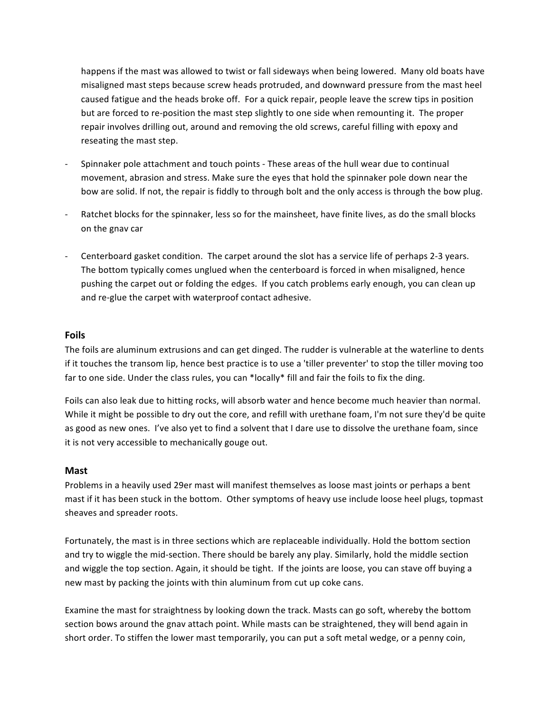happens if the mast was allowed to twist or fall sideways when being lowered. Many old boats have misaligned mast steps because screw heads protruded, and downward pressure from the mast heel caused fatigue and the heads broke off. For a quick repair, people leave the screw tips in position but are forced to re-position the mast step slightly to one side when remounting it. The proper repair involves drilling out, around and removing the old screws, careful filling with epoxy and reseating the mast step.

- Spinnaker pole attachment and touch points These areas of the hull wear due to continual movement, abrasion and stress. Make sure the eyes that hold the spinnaker pole down near the bow are solid. If not, the repair is fiddly to through bolt and the only access is through the bow plug.
- Ratchet blocks for the spinnaker, less so for the mainsheet, have finite lives, as do the small blocks on the gnav car
- Centerboard gasket condition. The carpet around the slot has a service life of perhaps 2-3 years. The bottom typically comes unglued when the centerboard is forced in when misaligned, hence pushing the carpet out or folding the edges. If you catch problems early enough, you can clean up and re-glue the carpet with waterproof contact adhesive.

### **Foils**

The foils are aluminum extrusions and can get dinged. The rudder is vulnerable at the waterline to dents if it touches the transom lip, hence best practice is to use a 'tiller preventer' to stop the tiller moving too far to one side. Under the class rules, you can \*locally\* fill and fair the foils to fix the ding.

Foils can also leak due to hitting rocks, will absorb water and hence become much heavier than normal. While it might be possible to dry out the core, and refill with urethane foam, I'm not sure they'd be quite as good as new ones. I've also yet to find a solvent that I dare use to dissolve the urethane foam, since it is not very accessible to mechanically gouge out.

### **Mast**

Problems in a heavily used 29er mast will manifest themselves as loose mast joints or perhaps a bent mast if it has been stuck in the bottom. Other symptoms of heavy use include loose heel plugs, topmast sheaves and spreader roots.

Fortunately, the mast is in three sections which are replaceable individually. Hold the bottom section and try to wiggle the mid-section. There should be barely any play. Similarly, hold the middle section and wiggle the top section. Again, it should be tight. If the joints are loose, you can stave off buying a new mast by packing the joints with thin aluminum from cut up coke cans.

Examine the mast for straightness by looking down the track. Masts can go soft, whereby the bottom section bows around the gnav attach point. While masts can be straightened, they will bend again in short order. To stiffen the lower mast temporarily, you can put a soft metal wedge, or a penny coin,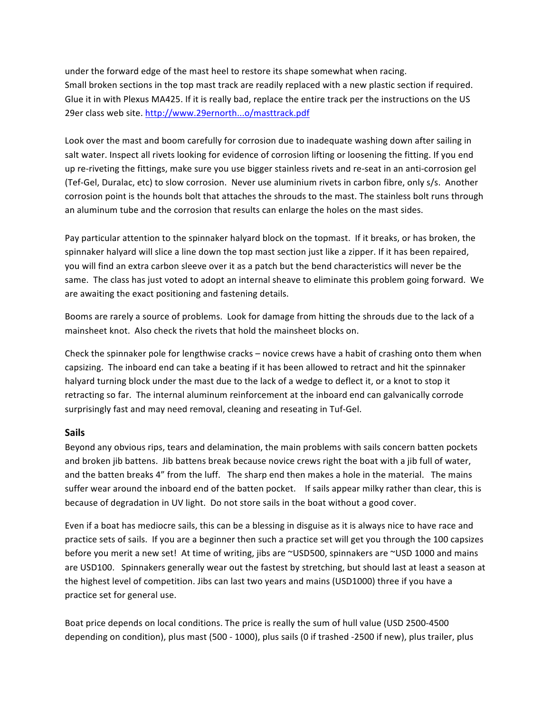under the forward edge of the mast heel to restore its shape somewhat when racing. Small broken sections in the top mast track are readily replaced with a new plastic section if required. Glue it in with Plexus MA425. If it is really bad, replace the entire track per the instructions on the US 29er class web site. http://www.29ernorth...o/masttrack.pdf

Look over the mast and boom carefully for corrosion due to inadequate washing down after sailing in salt water. Inspect all rivets looking for evidence of corrosion lifting or loosening the fitting. If you end up re-riveting the fittings, make sure you use bigger stainless rivets and re-seat in an anti-corrosion gel (Tef-Gel, Duralac, etc) to slow corrosion. Never use aluminium rivets in carbon fibre, only s/s. Another corrosion point is the hounds bolt that attaches the shrouds to the mast. The stainless bolt runs through an'aluminum tube and the corrosion that results can enlarge the holes on the mast sides.

Pay particular attention to the spinnaker halyard block on the topmast. If it breaks, or has broken, the spinnaker halyard will slice a line down the top mast section just like a zipper. If it has been repaired, you will find an extra carbon sleeve over it as a patch but the bend characteristics will never be the same. The class has just voted to adopt an internal sheave to eliminate this problem going forward. We are awaiting the exact positioning and fastening details.

Booms are rarely a source of problems. Look for damage from hitting the shrouds due to the lack of a mainsheet knot. Also check the rivets that hold the mainsheet blocks on.

Check the spinnaker pole for lengthwise cracks – novice crews have a habit of crashing onto them when capsizing. The inboard end can take a beating if it has been allowed to retract and hit the spinnaker halyard turning block under the mast due to the lack of a wedge to deflect it, or a knot to stop it retracting so far. The internal aluminum reinforcement at the inboard end can galvanically corrode surprisingly fast and may need removal, cleaning and reseating in Tuf-Gel.

### **Sails**

Beyond any obvious rips, tears and delamination, the main problems with sails concern batten pockets and broken jib battens. Jib battens break because novice crews right the boat with a jib full of water, and the batten breaks 4" from the luff. The sharp end then makes a hole in the material. The mains suffer wear around the inboard end of the batten pocket. If sails appear milky rather than clear, this is because of degradation in UV light. Do not store sails in the boat without a good cover.

Even if a boat has mediocre sails, this can be a blessing in disguise as it is always nice to have race and practice sets of sails. If you are a beginner then such a practice set will get you through the 100 capsizes before you merit a new set! At time of writing, jibs are ~USD500, spinnakers are ~USD 1000 and mains are USD100. Spinnakers generally wear out the fastest by stretching, but should last at least a season at the highest level of competition. Jibs can last two years and mains (USD1000) three if you have a practice set for general use.

Boat price depends on local conditions. The price is really the sum of hull value (USD 2500-4500 depending on condition), plus mast (500 - 1000), plus sails (0 if trashed -2500 if new), plus trailer, plus